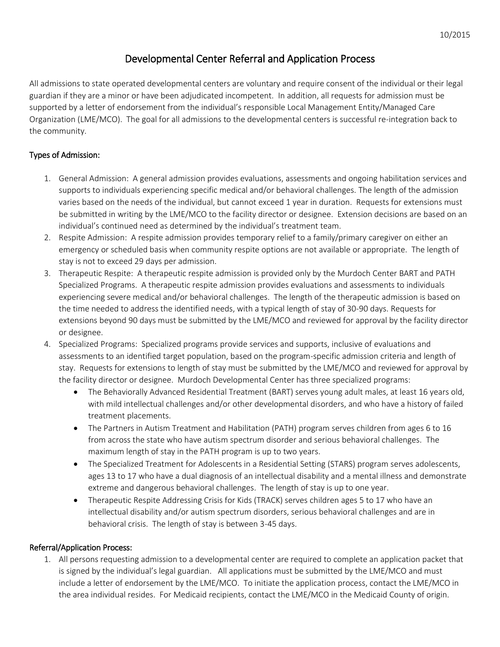# Developmental Center Referral and Application Process

All admissions to state operated developmental centers are voluntary and require consent of the individual or their legal guardian if they are a minor or have been adjudicated incompetent. In addition, all requests for admission must be supported by a letter of endorsement from the individual's responsible Local Management Entity/Managed Care Organization (LME/MCO). The goal for all admissions to the developmental centers is successful re-integration back to the community.

## Types of Admission:

- 1. General Admission: A general admission provides evaluations, assessments and ongoing habilitation services and supports to individuals experiencing specific medical and/or behavioral challenges. The length of the admission varies based on the needs of the individual, but cannot exceed 1 year in duration. Requests for extensions must be submitted in writing by the LME/MCO to the facility director or designee. Extension decisions are based on an individual's continued need as determined by the individual's treatment team.
- 2. Respite Admission: A respite admission provides temporary relief to a family/primary caregiver on either an emergency or scheduled basis when community respite options are not available or appropriate. The length of stay is not to exceed 29 days per admission.
- 3. Therapeutic Respite: A therapeutic respite admission is provided only by the Murdoch Center BART and PATH Specialized Programs. A therapeutic respite admission provides evaluations and assessments to individuals experiencing severe medical and/or behavioral challenges. The length of the therapeutic admission is based on the time needed to address the identified needs, with a typical length of stay of 30-90 days. Requests for extensions beyond 90 days must be submitted by the LME/MCO and reviewed for approval by the facility director or designee.
- 4. Specialized Programs: Specialized programs provide services and supports, inclusive of evaluations and assessments to an identified target population, based on the program-specific admission criteria and length of stay. Requests for extensions to length of stay must be submitted by the LME/MCO and reviewed for approval by the facility director or designee. Murdoch Developmental Center has three specialized programs:
	- The Behaviorally Advanced Residential Treatment (BART) serves young adult males, at least 16 years old, with mild intellectual challenges and/or other developmental disorders, and who have a history of failed treatment placements.
	- The Partners in Autism Treatment and Habilitation (PATH) program serves children from ages 6 to 16 from across the state who have autism spectrum disorder and serious behavioral challenges. The maximum length of stay in the PATH program is up to two years.
	- The Specialized Treatment for Adolescents in a Residential Setting (STARS) program serves adolescents, ages 13 to 17 who have a dual diagnosis of an intellectual disability and a mental illness and demonstrate extreme and dangerous behavioral challenges. The length of stay is up to one year.
	- Therapeutic Respite Addressing Crisis for Kids (TRACK) serves children ages 5 to 17 who have an intellectual disability and/or autism spectrum disorders, serious behavioral challenges and are in behavioral crisis. The length of stay is between 3-45 days.

## Referral/Application Process:

1. All persons requesting admission to a developmental center are required to complete an application packet that is signed by the individual's legal guardian. All applications must be submitted by the LME/MCO and must include a letter of endorsement by the LME/MCO. To initiate the application process, contact the LME/MCO in the area individual resides. For Medicaid recipients, contact the LME/MCO in the Medicaid County of origin.